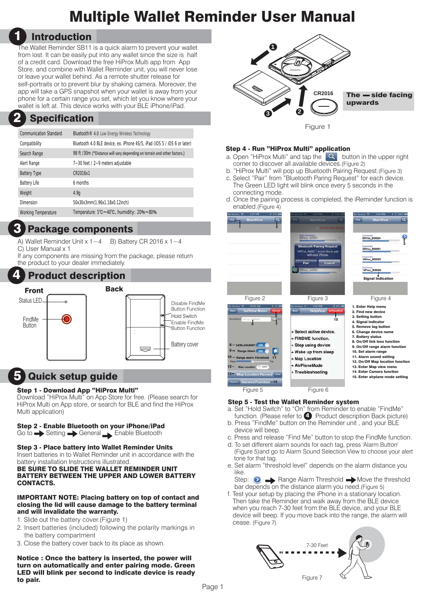# Multiple Wallet Reminder User Manual

## 1 Introduction

The Wallet Reminder SB11 is a quick alarm to prevent your wallet from lost. It can be easily put into any wallet since the size is half of a credit card. Download the free HiProx Multi app from App Store, and combine with Wallet Reminder unit, you will never lose or leave your wallet behind. As a remote shutter release for self-portraits or to prevent blur by shaking camera. Moreover, the app will take a GPS snapshot when your wallet is away from your phone for a certain range you set, which let you know where your wallet is left at. This device works with your BLE iPhone/iPad.

#### **Specification** 2

| <b>Communication Standard</b> | Bluetooth <sup>®</sup> 4.0 Low Energy Wireless Technology                |
|-------------------------------|--------------------------------------------------------------------------|
| Compatibility                 | Bluetooth 4.0 BLE device, ex. iPhone 4S/5, iPad (iOS 5 / iOS 6 or later) |
| Search Range                  | 98 ft /30m (*Distance will vary depending on terrain and other factors.) |
| Alert Range                   | 7~30 feet / 2~9 meters adjustable                                        |
| <b>Battery Type</b>           | CR2016x1                                                                 |
| <b>Battery Life</b>           | 6 months                                                                 |
| Weight                        | 4.9q                                                                     |
| Dimension                     | 50x30x3mm(1.96x1.18x0.12inch)                                            |
| <b>Working Temperature</b>    | Temperature: 5°C~40°C, humidity: 20%~80%                                 |
|                               |                                                                          |

## Package components 3

A) Wallet Reminder Unit  $x 1~1~$  B) Battery CR 2016 x  $1~1~$ C) User Manual x 1

If any components are missing from the package, please return the product to your dealer immediately.



## 5 Quick setup guide

### Step 1 - Download App "HiProx Multi"

Download "HiProx Multi" on App Store for free. (Please search for HiProx Multi on App store, or search for BLE and find the HiProx Multi application)

## Step 2 - Enable Bluetooth on your iPhone/iPad

Go to Setting Seneral Enable Bluetooth

### Step 3 - Place battery into Wallet Reminder Units

Insert batteries in to Wallet Reminder unit in accordance with the battery installation Instructions illustrated.

#### BE SURE TO SLIDE THE WALLET REMINDER UNIT BATTERY BETWEEN THE UPPER AND LOWER BATTERY CONTACTS.

#### IMPORTANT NOTE: Placing battery on top of contact and closing the lid will cause damage to the battery terminal and will invalidate the warranty.

- 1. Slide out the battery cover.(Figure 1)
- 2. Insert batteries (included) following the polarity markings in the battery compartment
- 3. Close the battery cover back to its place as shown.

Notice : Once the battery is inserted, the power will turn on automatically and enter pairing mode. Green LED will blink per second to indicate device is ready to pair.



### Step 4 - Run "HiProx Multi" application

- a. Open "HiProx Multi" and tap the  $\overline{Q}$  button in the upper right corner to discover all available devices.(Figure 2)
- b. "HiProx Multi" will pop up Bluetooth Pairing Request.(Figure 3) c. Select "Pair" from "Bluetooth Paring Request" for each device.
- The Green LED light will blink once every 5 seconds in the connecting mode.
- d. Once the pairing process is completed, the iReminder function is enabled.(Figure 4)



### Step 5 - Test the Wallet Reminder system

- a. Set "Hold Switch" to "On" from Reminder to enable "FindMe" function. (Please refer to 4) Product description Back picture)
- b. Press "FindMe" button on the Reminder unit , and your BLE device will beep.
- c. Press and release "Find Me" button to stop the FindMe function.
- d. To set different alarm sounds for each tag, press 'Alarm Button' (Figure 5)and go to Alarm Sound Selection View to choose your alert tone for that tag.
- e. Set alarm "threshold level" depends on the alarm distance you like.

Step:  $\bigcirc$   $\longrightarrow$  Range Alarm Threshold  $\longrightarrow$  Move the threshold bar depends on the distance alarm you need.(Figure 5)

f. Test your setup by placing the iPhone in a stationary location. Then take the Reminder and walk away from the BLE device when you reach 7-30 feet from the BLE device, and your BLE device will beep. If you move back into the range, the alarm will cease. (Figure 7)